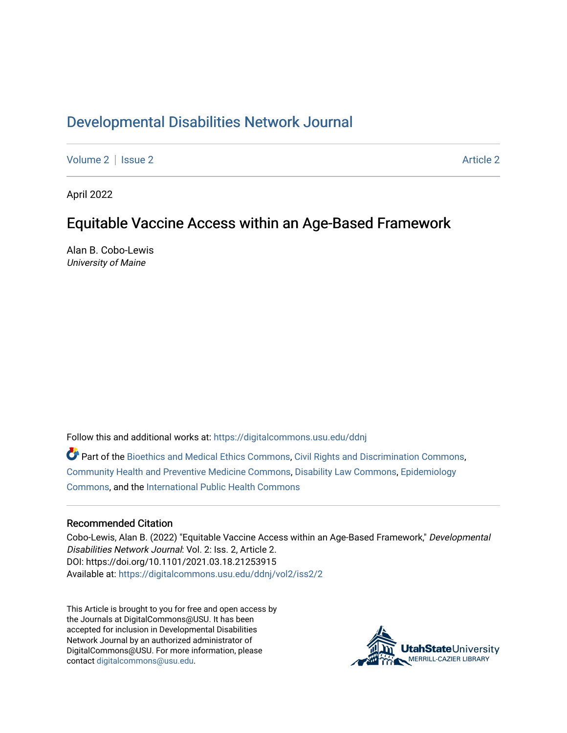# [Developmental Disabilities Network Journal](https://digitalcommons.usu.edu/ddnj)

[Volume 2](https://digitalcommons.usu.edu/ddnj/vol2) | [Issue 2](https://digitalcommons.usu.edu/ddnj/vol2/iss2) [Article 2](https://digitalcommons.usu.edu/ddnj/vol2/iss2/2) Article 2 Article 2 Article 2 Article 2 Article 2 Article 2 Article 2 Article 2 Article 2 Article 2 Article 2 Article 2 Article 2 Article 2 Article 2 Article 2 Article 2 Article 2 Article 2 Art

April 2022

# Equitable Vaccine Access within an Age-Based Framework

Alan B. Cobo-Lewis University of Maine

Follow this and additional works at: [https://digitalcommons.usu.edu/ddnj](https://digitalcommons.usu.edu/ddnj?utm_source=digitalcommons.usu.edu%2Fddnj%2Fvol2%2Fiss2%2F2&utm_medium=PDF&utm_campaign=PDFCoverPages)  Part of the [Bioethics and Medical Ethics Commons,](http://network.bepress.com/hgg/discipline/650?utm_source=digitalcommons.usu.edu%2Fddnj%2Fvol2%2Fiss2%2F2&utm_medium=PDF&utm_campaign=PDFCoverPages) [Civil Rights and Discrimination Commons,](http://network.bepress.com/hgg/discipline/585?utm_source=digitalcommons.usu.edu%2Fddnj%2Fvol2%2Fiss2%2F2&utm_medium=PDF&utm_campaign=PDFCoverPages) [Community Health and Preventive Medicine Commons](http://network.bepress.com/hgg/discipline/744?utm_source=digitalcommons.usu.edu%2Fddnj%2Fvol2%2Fiss2%2F2&utm_medium=PDF&utm_campaign=PDFCoverPages), [Disability Law Commons](http://network.bepress.com/hgg/discipline/1074?utm_source=digitalcommons.usu.edu%2Fddnj%2Fvol2%2Fiss2%2F2&utm_medium=PDF&utm_campaign=PDFCoverPages), [Epidemiology](http://network.bepress.com/hgg/discipline/740?utm_source=digitalcommons.usu.edu%2Fddnj%2Fvol2%2Fiss2%2F2&utm_medium=PDF&utm_campaign=PDFCoverPages)  [Commons](http://network.bepress.com/hgg/discipline/740?utm_source=digitalcommons.usu.edu%2Fddnj%2Fvol2%2Fiss2%2F2&utm_medium=PDF&utm_campaign=PDFCoverPages), and the [International Public Health Commons](http://network.bepress.com/hgg/discipline/746?utm_source=digitalcommons.usu.edu%2Fddnj%2Fvol2%2Fiss2%2F2&utm_medium=PDF&utm_campaign=PDFCoverPages)

#### Recommended Citation

Cobo-Lewis, Alan B. (2022) "Equitable Vaccine Access within an Age-Based Framework," Developmental Disabilities Network Journal: Vol. 2: Iss. 2, Article 2. DOI: https://doi.org/10.1101/2021.03.18.21253915 Available at: [https://digitalcommons.usu.edu/ddnj/vol2/iss2/2](https://digitalcommons.usu.edu/ddnj/vol2/iss2/2?utm_source=digitalcommons.usu.edu%2Fddnj%2Fvol2%2Fiss2%2F2&utm_medium=PDF&utm_campaign=PDFCoverPages) 

This Article is brought to you for free and open access by the Journals at DigitalCommons@USU. It has been accepted for inclusion in Developmental Disabilities Network Journal by an authorized administrator of DigitalCommons@USU. For more information, please contact [digitalcommons@usu.edu](mailto:digitalcommons@usu.edu).

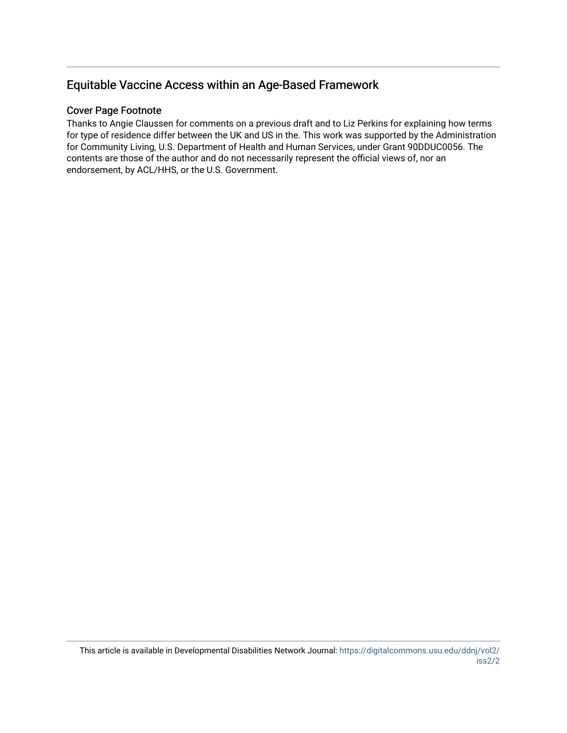## Equitable Vaccine Access within an Age-Based Framework

#### Cover Page Footnote

Thanks to Angie Claussen for comments on a previous draft and to Liz Perkins for explaining how terms for type of residence differ between the UK and US in the. This work was supported by the Administration for Community Living, U.S. Department of Health and Human Services, under Grant 90DDUC0056. The contents are those of the author and do not necessarily represent the official views of, nor an endorsement, by ACL/HHS, or the U.S. Government.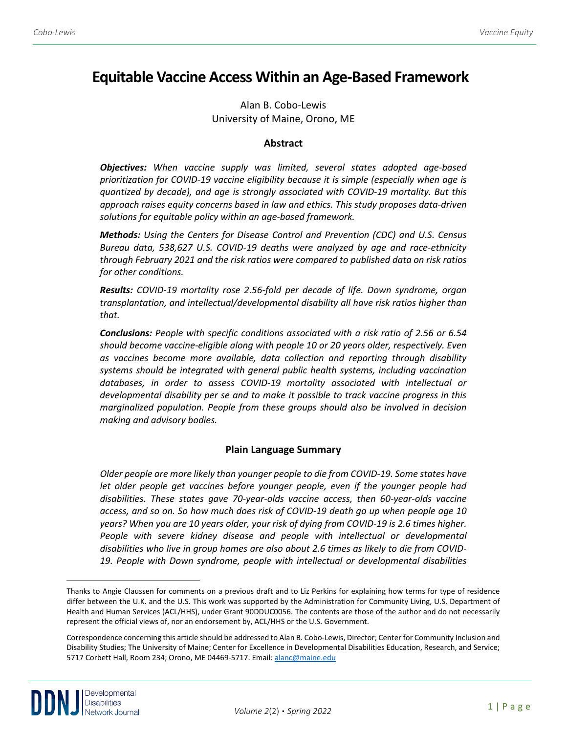# **Equitable Vaccine Access Within an Age-Based Framework[a](#page-2-0)**

Alan B. Cobo-Lewis University of Maine, Orono, ME

#### **Abstract**

*Objectives: When vaccine supply was limited, several states adopted age-based prioritization for COVID-19 vaccine eligibility because it is simple (especially when age is quantized by decade), and age is strongly associated with COVID-19 mortality. But this approach raises equity concerns based in law and ethics. This study proposes data-driven solutions for equitable policy within an age-based framework.* 

*Methods: Using the Centers for Disease Control and Prevention (CDC) and U.S. Census Bureau data, 538,627 U.S. COVID-19 deaths were analyzed by age and race-ethnicity through February 2021 and the risk ratios were compared to published data on risk ratios for other conditions.* 

*Results: COVID-19 mortality rose 2.56-fold per decade of life. Down syndrome, organ transplantation, and intellectual/developmental disability all have risk ratios higher than that.* 

*Conclusions: People with specific conditions associated with a risk ratio of 2.56 or 6.54 should become vaccine-eligible along with people 10 or 20 years older, respectively. Even as vaccines become more available, data collection and reporting through disability systems should be integrated with general public health systems, including vaccination databases, in order to assess COVID-19 mortality associated with intellectual or developmental disability per se and to make it possible to track vaccine progress in this marginalized population. People from these groups should also be involved in decision making and advisory bodies.*

#### **Plain Language Summary**

*Older people are more likely than younger people to die from COVID-19. Some states have let older people get vaccines before younger people, even if the younger people had disabilities. These states gave 70-year-olds vaccine access, then 60-year-olds vaccine access, and so on. So how much does risk of COVID-19 death go up when people age 10 years? When you are 10 years older, your risk of dying from COVID-19 is 2.6 times higher.*  People with severe kidney disease and people with intellectual or developmental *disabilities who live in group homes are also about 2.6 times as likely to die from COVID-19. People with Down syndrome, people with intellectual or developmental disabilities* 

<span id="page-2-0"></span>Thanks to Angie Claussen for comments on a previous draft and to Liz Perkins for explaining how terms for type of residence differ between the U.K. and the U.S. This work was supported by the Administration for Community Living, U.S. Department of Health and Human Services (ACL/HHS), under Grant 90DDUC0056. The contents are those of the author and do not necessarily represent the official views of, nor an endorsement by, ACL/HHS or the U.S. Government.

Correspondence concerning this article should be addressed to Alan B. Cobo-Lewis, Director; Center for Community Inclusion and Disability Studies; The University of Maine; Center for Excellence in Developmental Disabilities Education, Research, and Service; 5717 Corbett Hall, Room 234; Orono, ME 04469-5717. Email: [alanc@maine.edu](mailto:alanc@maine.edu)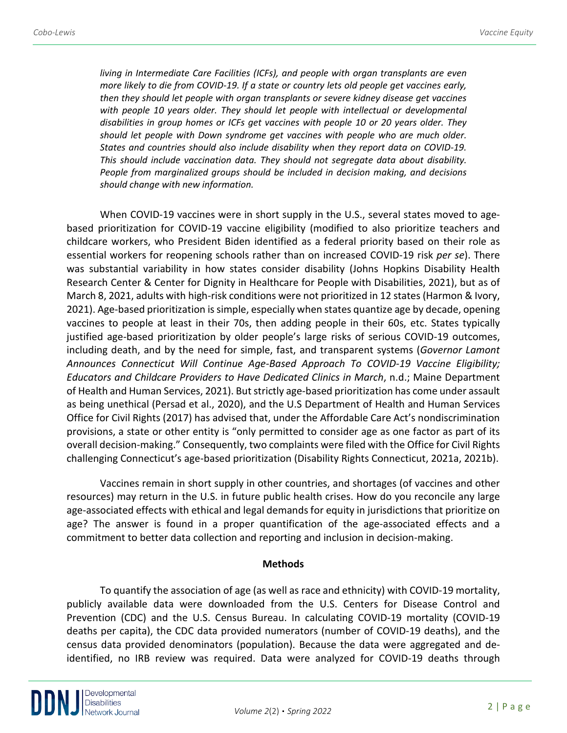*living in Intermediate Care Facilities (ICFs), and people with organ transplants are even more likely to die from COVID-19. If a state or country lets old people get vaccines early, then they should let people with organ transplants or severe kidney disease get vaccines*  with people 10 years older. They should let people with intellectual or developmental *disabilities in group homes or ICFs get vaccines with people 10 or 20 years older. They should let people with Down syndrome get vaccines with people who are much older. States and countries should also include disability when they report data on COVID-19. This should include vaccination data. They should not segregate data about disability. People from marginalized groups should be included in decision making, and decisions should change with new information.*

When COVID-19 vaccines were in short supply in the U.S., several states moved to agebased prioritization for COVID-19 vaccine eligibility (modified to also prioritize teachers and childcare workers, who President Biden identified as a federal priority based on their role as essential workers for reopening schools rather than on increased COVID-19 risk *per se*). There was substantial variability in how states consider disability (Johns Hopkins Disability Health Research Center & Center for Dignity in Healthcare for People with Disabilities, 2021), but as of March 8, 2021, adults with high-risk conditions were not prioritized in 12 states (Harmon & Ivory, 2021). Age-based prioritization is simple, especially when states quantize age by decade, opening vaccines to people at least in their 70s, then adding people in their 60s, etc. States typically justified age-based prioritization by older people's large risks of serious COVID-19 outcomes, including death, and by the need for simple, fast, and transparent systems (*Governor Lamont Announces Connecticut Will Continue Age-Based Approach To COVID-19 Vaccine Eligibility; Educators and Childcare Providers to Have Dedicated Clinics in March*, n.d.; Maine Department of Health and Human Services, 2021). But strictly age-based prioritization has come under assault as being unethical (Persad et al., 2020), and the U.S Department of Health and Human Services Office for Civil Rights (2017) has advised that, under the Affordable Care Act's nondiscrimination provisions, a state or other entity is "only permitted to consider age as one factor as part of its overall decision-making." Consequently, two complaints were filed with the Office for Civil Rights challenging Connecticut's age-based prioritization (Disability Rights Connecticut, 2021a, 2021b).

Vaccines remain in short supply in other countries, and shortages (of vaccines and other resources) may return in the U.S. in future public health crises. How do you reconcile any large age-associated effects with ethical and legal demands for equity in jurisdictions that prioritize on age? The answer is found in a proper quantification of the age-associated effects and a commitment to better data collection and reporting and inclusion in decision-making.

#### **Methods**

To quantify the association of age (as well as race and ethnicity) with COVID-19 mortality, publicly available data were downloaded from the U.S. Centers for Disease Control and Prevention (CDC) and the U.S. Census Bureau. In calculating COVID-19 mortality (COVID-19 deaths per capita), the CDC data provided numerators (number of COVID-19 deaths), and the census data provided denominators (population). Because the data were aggregated and deidentified, no IRB review was required. Data were analyzed for COVID-19 deaths through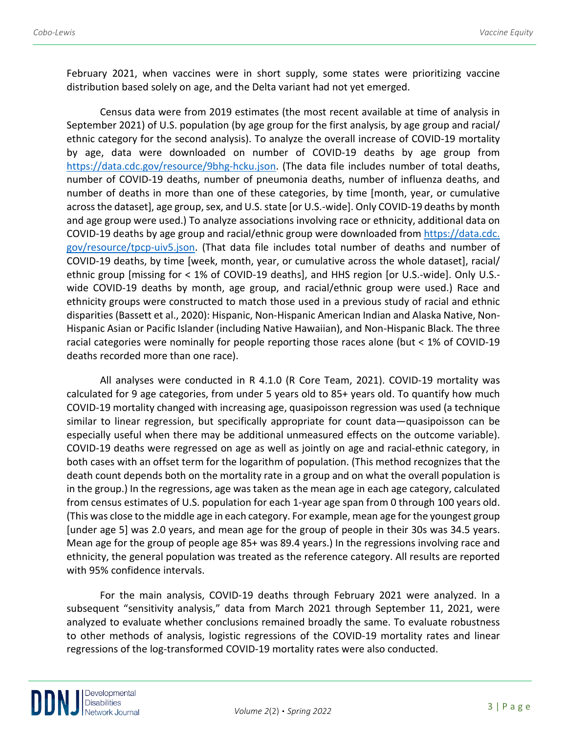February 2021, when vaccines were in short supply, some states were prioritizing vaccine distribution based solely on age, and the Delta variant had not yet emerged.

Census data were from 2019 estimates (the most recent available at time of analysis in September 2021) of U.S. population (by age group for the first analysis, by age group and racial/ ethnic category for the second analysis). To analyze the overall increase of COVID-19 mortality by age, data were downloaded on number of COVID-19 deaths by age group from [https://data.cdc.gov/resource/9bhg-hcku.json.](https://data.cdc.gov/resource/9bhg-hcku.json) (The data file includes number of total deaths, number of COVID-19 deaths, number of pneumonia deaths, number of influenza deaths, and number of deaths in more than one of these categories, by time [month, year, or cumulative across the dataset], age group, sex, and U.S. state [or U.S.-wide]. Only COVID-19 deaths by month and age group were used.) To analyze associations involving race or ethnicity, additional data on COVID-19 deaths by age group and racial/ethnic group were downloaded from https://data.cdc. gov/resource/tpcp-uiv5.json. (That data file includes total number of deaths and number of COVID-19 deaths, by time [week, month, year, or cumulative across the whole dataset], racial/ ethnic group [missing for < 1% of COVID-19 deaths], and HHS region [or U.S.-wide]. Only U.S. wide COVID-19 deaths by month, age group, and racial/ethnic group were used.) Race and ethnicity groups were constructed to match those used in a previous study of racial and ethnic disparities (Bassett et al., 2020): Hispanic, Non-Hispanic American Indian and Alaska Native, Non-Hispanic Asian or Pacific Islander (including Native Hawaiian), and Non-Hispanic Black. The three racial categories were nominally for people reporting those races alone (but < 1% of COVID-19 deaths recorded more than one race).

All analyses were conducted in R 4.1.0 (R Core Team, 2021). COVID-19 mortality was calculated for 9 age categories, from under 5 years old to 85+ years old. To quantify how much COVID-19 mortality changed with increasing age, quasipoisson regression was used (a technique similar to linear regression, but specifically appropriate for count data—quasipoisson can be especially useful when there may be additional unmeasured effects on the outcome variable). COVID-19 deaths were regressed on age as well as jointly on age and racial-ethnic category, in both cases with an offset term for the logarithm of population. (This method recognizes that the death count depends both on the mortality rate in a group and on what the overall population is in the group.) In the regressions, age was taken as the mean age in each age category, calculated from census estimates of U.S. population for each 1-year age span from 0 through 100 years old. (This was close to the middle age in each category. For example, mean age for the youngest group [under age 5] was 2.0 years, and mean age for the group of people in their 30s was 34.5 years. Mean age for the group of people age 85+ was 89.4 years.) In the regressions involving race and ethnicity, the general population was treated as the reference category. All results are reported with 95% confidence intervals.

For the main analysis, COVID-19 deaths through February 2021 were analyzed. In a subsequent "sensitivity analysis," data from March 2021 through September 11, 2021, were analyzed to evaluate whether conclusions remained broadly the same. To evaluate robustness to other methods of analysis, logistic regressions of the COVID-19 mortality rates and linear regressions of the log-transformed COVID-19 mortality rates were also conducted.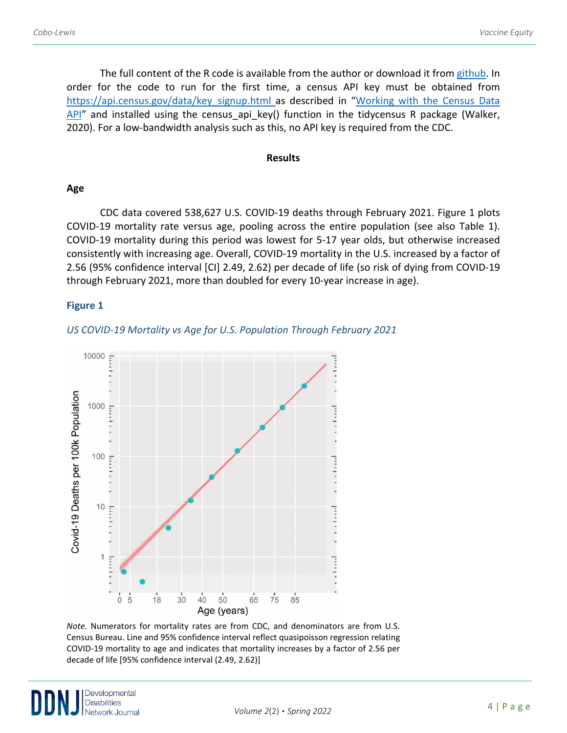The full content of the R code is available from the author or download it from [github.](https://github.com/acobolew/covid-vaccine-equity-ddnj) In order for the code to run for the first time, a census API key must be obtained from https://api.census.gov/data/key signup.html as described in "Working with the Census Data  $API''$  and installed using the census api key() function in the tidycensus R package (Walker, 2020). For a low-bandwidth analysis such as this, no API key is required from the CDC.

#### **Results**

#### **Age**

CDC data covered 538,627 U.S. COVID-19 deaths through February 2021. Figure 1 plots COVID-19 mortality rate versus age, pooling across the entire population (see also Table 1). COVID-19 mortality during this period was lowest for 5-17 year olds, but otherwise increased consistently with increasing age. Overall, COVID-19 mortality in the U.S. increased by a factor of 2.56 (95% confidence interval [CI] 2.49, 2.62) per decade of life (so risk of dying from COVID-19 through February 2021, more than doubled for every 10-year increase in age).

## **Figure 1**





*Note.* Numerators for mortality rates are from CDC, and denominators are from U.S. Census Bureau. Line and 95% confidence interval reflect quasipoisson regression relating COVID-19 mortality to age and indicates that mortality increases by a factor of 2.56 per decade of life [95% confidence interval (2.49, 2.62)]

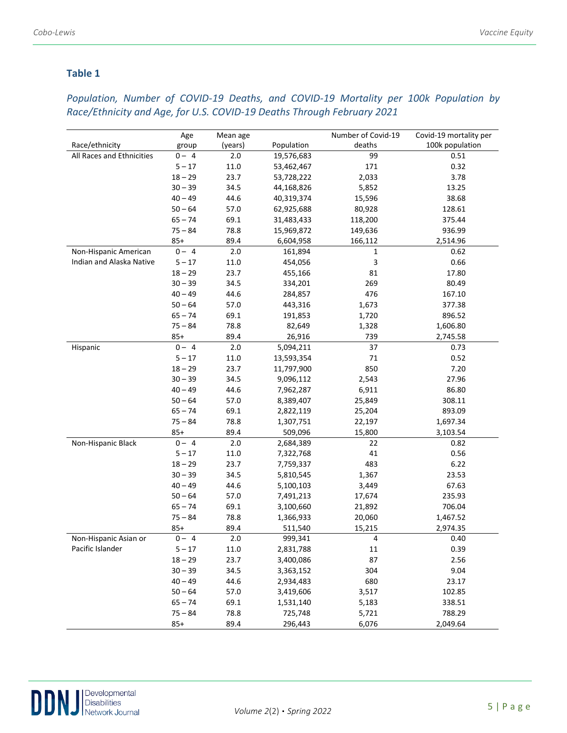## **Table 1**

## *Population, Number of COVID-19 Deaths, and COVID-19 Mortality per 100k Population by Race/Ethnicity and Age, for U.S. COVID-19 Deaths Through February 2021*

|                           | Age       | Mean age |            | Number of Covid-19 | Covid-19 mortality per |
|---------------------------|-----------|----------|------------|--------------------|------------------------|
| Race/ethnicity            | group     | (years)  | Population | deaths             | 100k population        |
| All Races and Ethnicities | $0 - 4$   | 2.0      | 19,576,683 | 99                 | 0.51                   |
|                           | $5 - 17$  | 11.0     | 53,462,467 | 171                | 0.32                   |
|                           | $18 - 29$ | 23.7     | 53,728,222 | 2,033              | 3.78                   |
|                           | $30 - 39$ | 34.5     | 44,168,826 | 5,852              | 13.25                  |
|                           | $40 - 49$ | 44.6     | 40,319,374 | 15,596             | 38.68                  |
|                           | $50 - 64$ | 57.0     | 62,925,688 | 80,928             | 128.61                 |
|                           | $65 - 74$ | 69.1     | 31,483,433 | 118,200            | 375.44                 |
|                           | $75 - 84$ | 78.8     | 15,969,872 | 149,636            | 936.99                 |
|                           | $85+$     | 89.4     | 6,604,958  | 166,112            | 2,514.96               |
| Non-Hispanic American     | $0 - 4$   | 2.0      | 161,894    | $\mathbf 1$        | 0.62                   |
| Indian and Alaska Native  | $5 - 17$  | 11.0     | 454,056    | 3                  | 0.66                   |
|                           | $18 - 29$ | 23.7     | 455,166    | 81                 | 17.80                  |
|                           | $30 - 39$ | 34.5     | 334,201    | 269                | 80.49                  |
|                           | $40 - 49$ | 44.6     | 284,857    | 476                | 167.10                 |
|                           | $50 - 64$ | 57.0     | 443,316    | 1,673              | 377.38                 |
|                           | $65 - 74$ | 69.1     | 191,853    | 1,720              | 896.52                 |
|                           | $75 - 84$ | 78.8     | 82,649     | 1,328              | 1,606.80               |
|                           | $85+$     | 89.4     | 26,916     | 739                | 2,745.58               |
| Hispanic                  | $0 - 4$   | 2.0      | 5,094,211  | 37                 | 0.73                   |
|                           | $5 - 17$  | 11.0     | 13,593,354 | 71                 | 0.52                   |
|                           | $18 - 29$ | 23.7     | 11,797,900 | 850                | 7.20                   |
|                           | $30 - 39$ | 34.5     | 9,096,112  | 2,543              | 27.96                  |
|                           | $40 - 49$ | 44.6     | 7,962,287  | 6,911              | 86.80                  |
|                           | $50 - 64$ | 57.0     | 8,389,407  | 25,849             | 308.11                 |
|                           | $65 - 74$ | 69.1     | 2,822,119  | 25,204             | 893.09                 |
|                           | $75 - 84$ | 78.8     | 1,307,751  | 22,197             | 1,697.34               |
|                           | $85+$     | 89.4     | 509,096    | 15,800             | 3,103.54               |
| Non-Hispanic Black        | $0 - 4$   | 2.0      | 2,684,389  | 22                 | 0.82                   |
|                           | $5 - 17$  | 11.0     | 7,322,768  | 41                 | 0.56                   |
|                           | $18 - 29$ | 23.7     | 7,759,337  | 483                | 6.22                   |
|                           | $30 - 39$ | 34.5     | 5,810,545  | 1,367              | 23.53                  |
|                           | $40 - 49$ | 44.6     | 5,100,103  | 3,449              | 67.63                  |
|                           | $50 - 64$ | 57.0     | 7,491,213  | 17,674             | 235.93                 |
|                           | $65 - 74$ | 69.1     | 3,100,660  | 21,892             | 706.04                 |
|                           | $75 - 84$ | 78.8     | 1,366,933  | 20,060             | 1,467.52               |
|                           | $85+$     | 89.4     | 511,540    | 15,215             | 2,974.35               |
| Non-Hispanic Asian or     | $0 - 4$   | 2.0      | 999,341    | 4                  | 0.40                   |
| Pacific Islander          | $5-17\,$  | 11.0     | 2,831,788  | $11\,$             | 0.39                   |
|                           | $18 - 29$ | 23.7     | 3,400,086  | 87                 | 2.56                   |
|                           | $30 - 39$ | 34.5     | 3,363,152  | 304                | 9.04                   |
|                           | $40 - 49$ | 44.6     | 2,934,483  | 680                | 23.17                  |
|                           | $50 - 64$ | 57.0     | 3,419,606  | 3,517              | 102.85                 |
|                           | $65 - 74$ | 69.1     | 1,531,140  | 5,183              | 338.51                 |
|                           | $75 - 84$ | 78.8     | 725,748    | 5,721              | 788.29                 |
|                           | $85+$     | 89.4     | 296,443    | 6,076              | 2,049.64               |

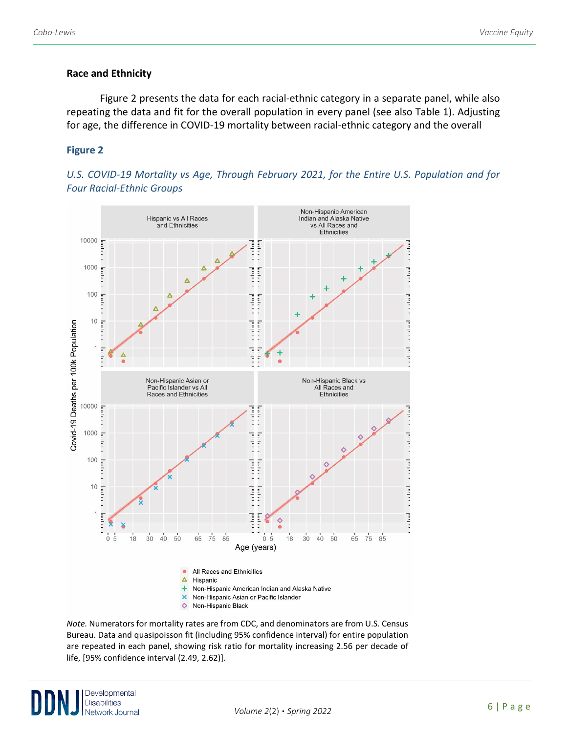## **Race and Ethnicity**

Figure 2 presents the data for each racial-ethnic category in a separate panel, while also repeating the data and fit for the overall population in every panel (see also Table 1). Adjusting for age, the difference in COVID-19 mortality between racial-ethnic category and the overall

## **Figure 2**





*Note.* Numerators for mortality rates are from CDC, and denominators are from U.S. Census Bureau. Data and quasipoisson fit (including 95% confidence interval) for entire population are repeated in each panel, showing risk ratio for mortality increasing 2.56 per decade of life, [95% confidence interval (2.49, 2.62)].

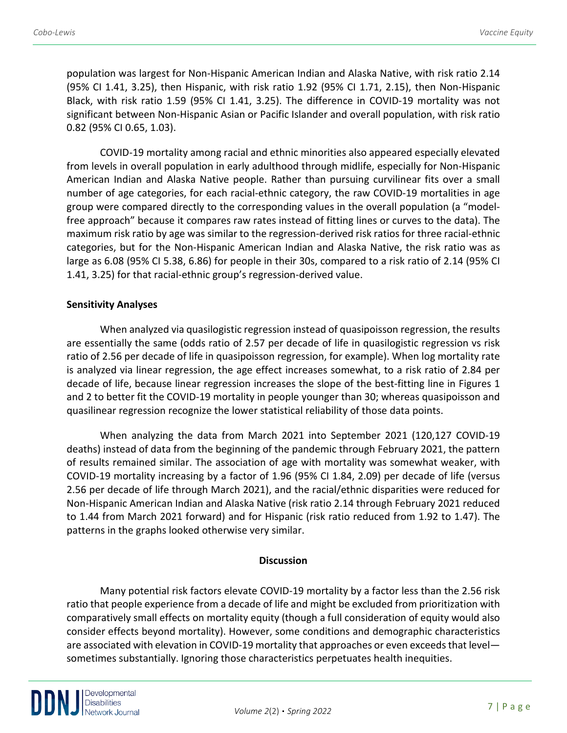population was largest for Non-Hispanic American Indian and Alaska Native, with risk ratio 2.14 (95% CI 1.41, 3.25), then Hispanic, with risk ratio 1.92 (95% CI 1.71, 2.15), then Non-Hispanic Black, with risk ratio 1.59 (95% CI 1.41, 3.25). The difference in COVID-19 mortality was not significant between Non-Hispanic Asian or Pacific Islander and overall population, with risk ratio 0.82 (95% CI 0.65, 1.03).

COVID-19 mortality among racial and ethnic minorities also appeared especially elevated from levels in overall population in early adulthood through midlife, especially for Non-Hispanic American Indian and Alaska Native people. Rather than pursuing curvilinear fits over a small number of age categories, for each racial-ethnic category, the raw COVID-19 mortalities in age group were compared directly to the corresponding values in the overall population (a "modelfree approach" because it compares raw rates instead of fitting lines or curves to the data). The maximum risk ratio by age was similar to the regression-derived risk ratios for three racial-ethnic categories, but for the Non-Hispanic American Indian and Alaska Native, the risk ratio was as large as 6.08 (95% CI 5.38, 6.86) for people in their 30s, compared to a risk ratio of 2.14 (95% CI 1.41, 3.25) for that racial-ethnic group's regression-derived value.

## **Sensitivity Analyses**

When analyzed via quasilogistic regression instead of quasipoisson regression, the results are essentially the same (odds ratio of 2.57 per decade of life in quasilogistic regression vs risk ratio of 2.56 per decade of life in quasipoisson regression, for example). When log mortality rate is analyzed via linear regression, the age effect increases somewhat, to a risk ratio of 2.84 per decade of life, because linear regression increases the slope of the best-fitting line in Figures 1 and 2 to better fit the COVID-19 mortality in people younger than 30; whereas quasipoisson and quasilinear regression recognize the lower statistical reliability of those data points.

When analyzing the data from March 2021 into September 2021 (120,127 COVID-19 deaths) instead of data from the beginning of the pandemic through February 2021, the pattern of results remained similar. The association of age with mortality was somewhat weaker, with COVID-19 mortality increasing by a factor of 1.96 (95% CI 1.84, 2.09) per decade of life (versus 2.56 per decade of life through March 2021), and the racial/ethnic disparities were reduced for Non-Hispanic American Indian and Alaska Native (risk ratio 2.14 through February 2021 reduced to 1.44 from March 2021 forward) and for Hispanic (risk ratio reduced from 1.92 to 1.47). The patterns in the graphs looked otherwise very similar.

#### **Discussion**

Many potential risk factors elevate COVID-19 mortality by a factor less than the 2.56 risk ratio that people experience from a decade of life and might be excluded from prioritization with comparatively small effects on mortality equity (though a full consideration of equity would also consider effects beyond mortality). However, some conditions and demographic characteristics are associated with elevation in COVID-19 mortality that approaches or even exceeds that level sometimes substantially. Ignoring those characteristics perpetuates health inequities.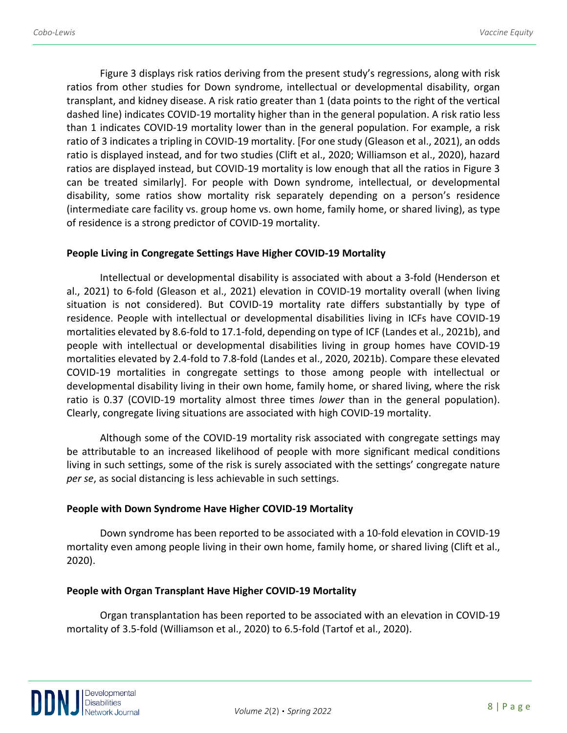Figure 3 displays risk ratios deriving from the present study's regressions, along with risk ratios from other studies for Down syndrome, intellectual or developmental disability, organ transplant, and kidney disease. A risk ratio greater than 1 (data points to the right of the vertical dashed line) indicates COVID-19 mortality higher than in the general population. A risk ratio less than 1 indicates COVID-19 mortality lower than in the general population. For example, a risk ratio of 3 indicates a tripling in COVID-19 mortality. [For one study (Gleason et al., 2021), an odds ratio is displayed instead, and for two studies (Clift et al., 2020; Williamson et al., 2020), hazard ratios are displayed instead, but COVID-19 mortality is low enough that all the ratios in Figure 3 can be treated similarly]. For people with Down syndrome, intellectual, or developmental disability, some ratios show mortality risk separately depending on a person's residence (intermediate care facility vs. group home vs. own home, family home, or shared living), as type of residence is a strong predictor of COVID-19 mortality.

#### **People Living in Congregate Settings Have Higher COVID-19 Mortality**

Intellectual or developmental disability is associated with about a 3-fold (Henderson et al., 2021) to 6-fold (Gleason et al., 2021) elevation in COVID-19 mortality overall (when living situation is not considered). But COVID-19 mortality rate differs substantially by type of residence. People with intellectual or developmental disabilities living in ICFs have COVID-19 mortalities elevated by 8.6-fold to 17.1-fold, depending on type of ICF (Landes et al., 2021b), and people with intellectual or developmental disabilities living in group homes have COVID-19 mortalities elevated by 2.4-fold to 7.8-fold (Landes et al., 2020, 2021b). Compare these elevated COVID-19 mortalities in congregate settings to those among people with intellectual or developmental disability living in their own home, family home, or shared living, where the risk ratio is 0.37 (COVID-19 mortality almost three times *lower* than in the general population). Clearly, congregate living situations are associated with high COVID-19 mortality.

Although some of the COVID-19 mortality risk associated with congregate settings may be attributable to an increased likelihood of people with more significant medical conditions living in such settings, some of the risk is surely associated with the settings' congregate nature *per se*, as social distancing is less achievable in such settings.

#### **People with Down Syndrome Have Higher COVID-19 Mortality**

Down syndrome has been reported to be associated with a 10-fold elevation in COVID-19 mortality even among people living in their own home, family home, or shared living (Clift et al., 2020).

#### **People with Organ Transplant Have Higher COVID-19 Mortality**

Organ transplantation has been reported to be associated with an elevation in COVID-19 mortality of 3.5-fold (Williamson et al., 2020) to 6.5-fold (Tartof et al., 2020).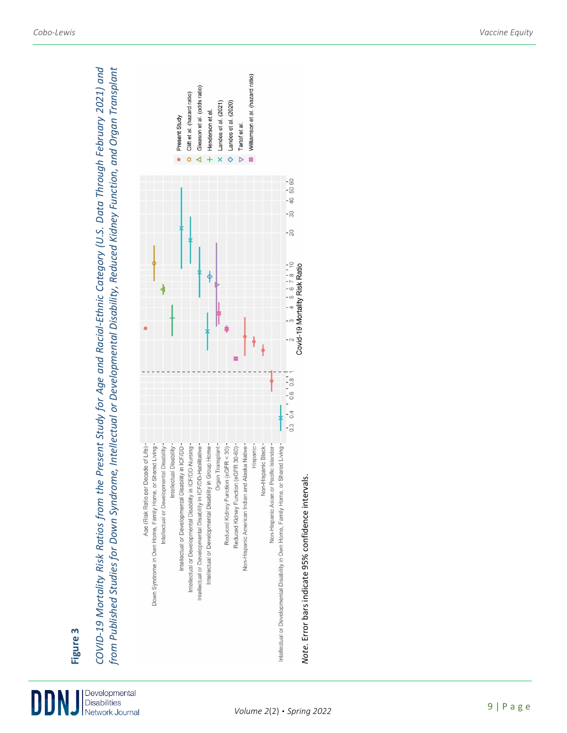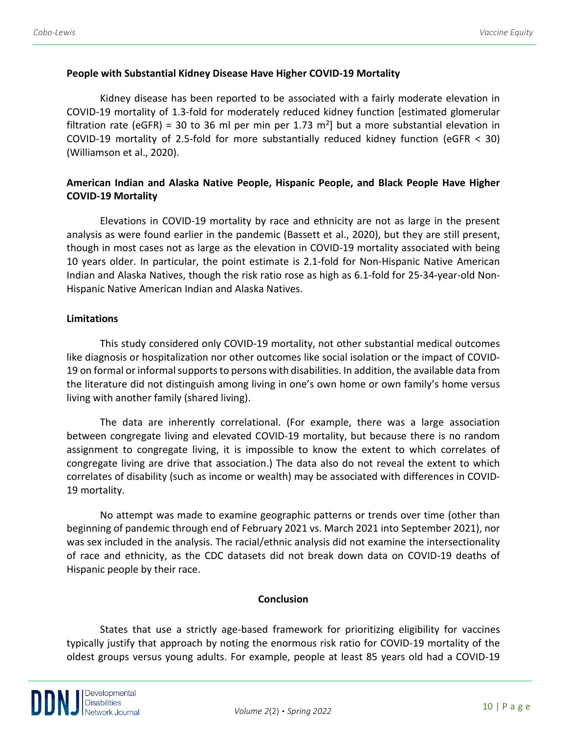#### **People with Substantial Kidney Disease Have Higher COVID-19 Mortality**

Kidney disease has been reported to be associated with a fairly moderate elevation in COVID-19 mortality of 1.3-fold for moderately reduced kidney function [estimated glomerular filtration rate (eGFR) = 30 to 36 ml per min per 1.73 m<sup>2</sup>] but a more substantial elevation in COVID-19 mortality of 2.5-fold for more substantially reduced kidney function (eGFR < 30) (Williamson et al., 2020).

## **American Indian and Alaska Native People, Hispanic People, and Black People Have Higher COVID-19 Mortality**

Elevations in COVID-19 mortality by race and ethnicity are not as large in the present analysis as were found earlier in the pandemic (Bassett et al., 2020), but they are still present, though in most cases not as large as the elevation in COVID-19 mortality associated with being 10 years older. In particular, the point estimate is 2.1-fold for Non-Hispanic Native American Indian and Alaska Natives, though the risk ratio rose as high as 6.1-fold for 25-34-year-old Non-Hispanic Native American Indian and Alaska Natives.

#### **Limitations**

This study considered only COVID-19 mortality, not other substantial medical outcomes like diagnosis or hospitalization nor other outcomes like social isolation or the impact of COVID-19 on formal or informal supports to persons with disabilities. In addition, the available data from the literature did not distinguish among living in one's own home or own family's home versus living with another family (shared living).

The data are inherently correlational. (For example, there was a large association between congregate living and elevated COVID-19 mortality, but because there is no random assignment to congregate living, it is impossible to know the extent to which correlates of congregate living are drive that association.) The data also do not reveal the extent to which correlates of disability (such as income or wealth) may be associated with differences in COVID-19 mortality.

No attempt was made to examine geographic patterns or trends over time (other than beginning of pandemic through end of February 2021 vs. March 2021 into September 2021), nor was sex included in the analysis. The racial/ethnic analysis did not examine the intersectionality of race and ethnicity, as the CDC datasets did not break down data on COVID-19 deaths of Hispanic people by their race.

#### **Conclusion**

States that use a strictly age-based framework for prioritizing eligibility for vaccines typically justify that approach by noting the enormous risk ratio for COVID-19 mortality of the oldest groups versus young adults. For example, people at least 85 years old had a COVID-19

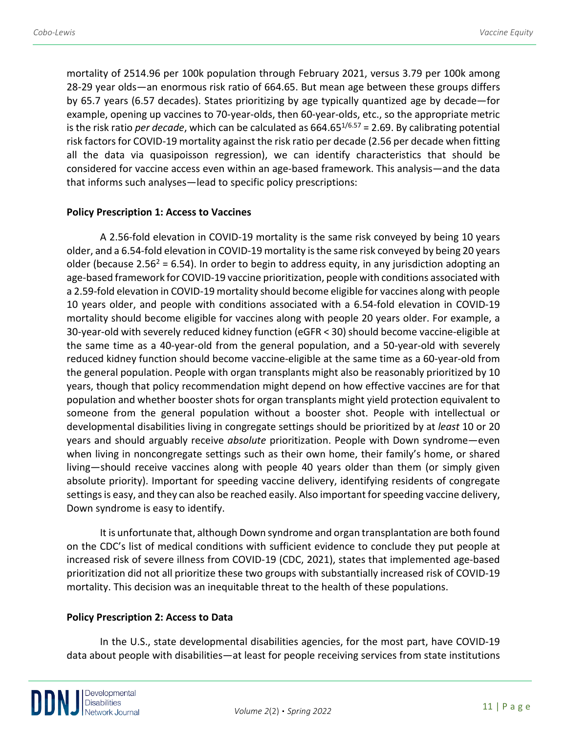mortality of 2514.96 per 100k population through February 2021, versus 3.79 per 100k among 28-29 year olds—an enormous risk ratio of 664.65. But mean age between these groups differs by 65.7 years (6.57 decades). States prioritizing by age typically quantized age by decade—for example, opening up vaccines to 70-year-olds, then 60-year-olds, etc., so the appropriate metric is the risk ratio *per decade*, which can be calculated as 664.651/6.57 = 2.69. By calibrating potential risk factors for COVID-19 mortality against the risk ratio per decade (2.56 per decade when fitting all the data via quasipoisson regression), we can identify characteristics that should be considered for vaccine access even within an age-based framework. This analysis—and the data that informs such analyses—lead to specific policy prescriptions:

#### **Policy Prescription 1: Access to Vaccines**

A 2.56-fold elevation in COVID-19 mortality is the same risk conveyed by being 10 years older, and a 6.54-fold elevation in COVID-19 mortality is the same risk conveyed by being 20 years older (because 2.56<sup>2</sup> = 6.54). In order to begin to address equity, in any jurisdiction adopting an age-based framework for COVID-19 vaccine prioritization, people with conditions associated with a 2.59-fold elevation in COVID-19 mortality should become eligible for vaccines along with people 10 years older, and people with conditions associated with a 6.54-fold elevation in COVID-19 mortality should become eligible for vaccines along with people 20 years older. For example, a 30-year-old with severely reduced kidney function (eGFR < 30) should become vaccine-eligible at the same time as a 40-year-old from the general population, and a 50-year-old with severely reduced kidney function should become vaccine-eligible at the same time as a 60-year-old from the general population. People with organ transplants might also be reasonably prioritized by 10 years, though that policy recommendation might depend on how effective vaccines are for that population and whether booster shots for organ transplants might yield protection equivalent to someone from the general population without a booster shot. People with intellectual or developmental disabilities living in congregate settings should be prioritized by at *least* 10 or 20 years and should arguably receive *absolute* prioritization. People with Down syndrome—even when living in noncongregate settings such as their own home, their family's home, or shared living—should receive vaccines along with people 40 years older than them (or simply given absolute priority). Important for speeding vaccine delivery, identifying residents of congregate settings is easy, and they can also be reached easily. Also important for speeding vaccine delivery, Down syndrome is easy to identify.

It is unfortunate that, although Down syndrome and organ transplantation are both found on the CDC's list of medical conditions with sufficient evidence to conclude they put people at increased risk of severe illness from COVID-19 (CDC, 2021), states that implemented age-based prioritization did not all prioritize these two groups with substantially increased risk of COVID-19 mortality. This decision was an inequitable threat to the health of these populations.

#### **Policy Prescription 2: Access to Data**

In the U.S., state developmental disabilities agencies, for the most part, have COVID-19 data about people with disabilities—at least for people receiving services from state institutions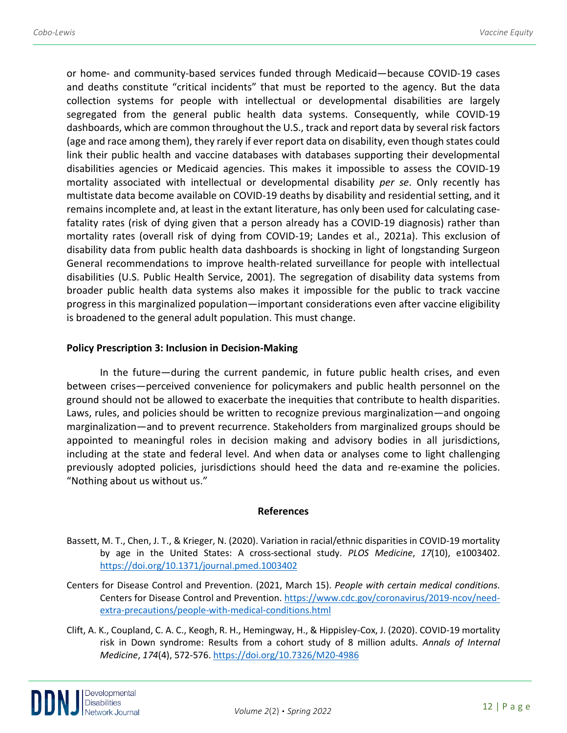or home- and community-based services funded through Medicaid—because COVID-19 cases and deaths constitute "critical incidents" that must be reported to the agency. But the data collection systems for people with intellectual or developmental disabilities are largely segregated from the general public health data systems. Consequently, while COVID-19 dashboards, which are common throughout the U.S., track and report data by several risk factors (age and race among them), they rarely if ever report data on disability, even though states could link their public health and vaccine databases with databases supporting their developmental disabilities agencies or Medicaid agencies. This makes it impossible to assess the COVID-19 mortality associated with intellectual or developmental disability *per se*. Only recently has multistate data become available on COVID-19 deaths by disability and residential setting, and it remains incomplete and, at least in the extant literature, has only been used for calculating casefatality rates (risk of dying given that a person already has a COVID-19 diagnosis) rather than mortality rates (overall risk of dying from COVID-19; Landes et al., 2021a). This exclusion of disability data from public health data dashboards is shocking in light of longstanding Surgeon General recommendations to improve health-related surveillance for people with intellectual disabilities (U.S. Public Health Service, 2001). The segregation of disability data systems from broader public health data systems also makes it impossible for the public to track vaccine progress in this marginalized population—important considerations even after vaccine eligibility is broadened to the general adult population. This must change.

#### **Policy Prescription 3: Inclusion in Decision-Making**

In the future—during the current pandemic, in future public health crises, and even between crises—perceived convenience for policymakers and public health personnel on the ground should not be allowed to exacerbate the inequities that contribute to health disparities. Laws, rules, and policies should be written to recognize previous marginalization—and ongoing marginalization—and to prevent recurrence. Stakeholders from marginalized groups should be appointed to meaningful roles in decision making and advisory bodies in all jurisdictions, including at the state and federal level. And when data or analyses come to light challenging previously adopted policies, jurisdictions should heed the data and re-examine the policies. "Nothing about us without us."

#### **References**

- Bassett, M. T., Chen, J. T., & Krieger, N. (2020). Variation in racial/ethnic disparities in COVID-19 mortality by age in the United States: A cross-sectional study. *PLOS Medicine*, *17*(10), e1003402. <https://doi.org/10.1371/journal.pmed.1003402>
- Centers for Disease Control and Prevention. (2021, March 15). *People with certain medical conditions*. Centers for Disease Control and Prevention. [https://www.cdc.gov/coronavirus/2019-ncov/need](https://www.cdc.gov/coronavirus/2019-ncov/need-extra-precautions/people-with-medical-conditions.html)[extra-precautions/people-with-medical-conditions.html](https://www.cdc.gov/coronavirus/2019-ncov/need-extra-precautions/people-with-medical-conditions.html)
- Clift, A. K., Coupland, C. A. C., Keogh, R. H., Hemingway, H., & Hippisley-Cox, J. (2020). COVID-19 mortality risk in Down syndrome: Results from a cohort study of 8 million adults. *Annals of Internal Medicine*, *174*(4), 572-576[. https://doi.org/10.7326/M20-4986](https://doi.org/10.7326/M20-4986)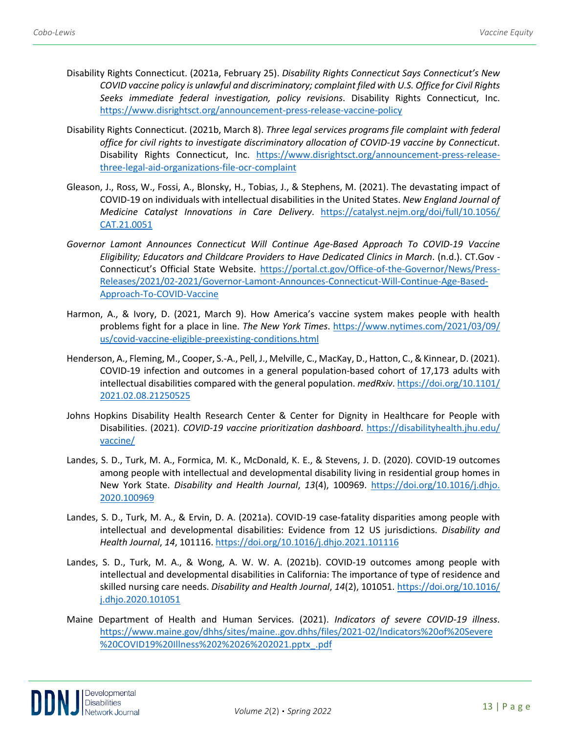- Disability Rights Connecticut. (2021a, February 25). *Disability Rights Connecticut Says Connecticut's New COVID vaccine policy is unlawful and discriminatory; complaint filed with U.S. Office for Civil Rights Seeks immediate federal investigation, policy revisions*. Disability Rights Connecticut, Inc. <https://www.disrightsct.org/announcement-press-release-vaccine-policy>
- Disability Rights Connecticut. (2021b, March 8). *Three legal services programs file complaint with federal office for civil rights to investigate discriminatory allocation of COVID-19 vaccine by Connecticut*. Disability Rights Connecticut, Inc. [https://www.disrightsct.org/announcement-press-release](https://www.disrightsct.org/announcement-press-release-three-legal-aid-organizations-file-ocr-complaint)[three-legal-aid-organizations-file-ocr-complaint](https://www.disrightsct.org/announcement-press-release-three-legal-aid-organizations-file-ocr-complaint)
- Gleason, J., Ross, W., Fossi, A., Blonsky, H., Tobias, J., & Stephens, M. (2021). The devastating impact of COVID-19 on individuals with intellectual disabilities in the United States. *New England Journal of Medicine Catalyst Innovations in Care Delivery*. [https://catalyst.nejm.org/doi/full/10.1056/](https://catalyst.nejm.org/doi/full/10.1056/%20CAT.21.0051)  [CAT.21.0051](https://catalyst.nejm.org/doi/full/10.1056/%20CAT.21.0051)
- *Governor Lamont Announces Connecticut Will Continue Age-Based Approach To COVID-19 Vaccine Eligibility; Educators and Childcare Providers to Have Dedicated Clinics in March*. (n.d.). CT.Gov - Connecticut's Official State Website. [https://portal.ct.gov/Office-of-the-Governor/News/Press-](https://portal.ct.gov/Office-of-the-Governor/News/Press-Releases/2021/02-2021/Governor-Lamont-Announces-Connecticut-Will-Continue-Age-Based-Approach-To-COVID-Vaccine)[Releases/2021/02-2021/Governor-Lamont-Announces-Connecticut-Will-Continue-Age-Based-](https://portal.ct.gov/Office-of-the-Governor/News/Press-Releases/2021/02-2021/Governor-Lamont-Announces-Connecticut-Will-Continue-Age-Based-Approach-To-COVID-Vaccine)[Approach-To-COVID-Vaccine](https://portal.ct.gov/Office-of-the-Governor/News/Press-Releases/2021/02-2021/Governor-Lamont-Announces-Connecticut-Will-Continue-Age-Based-Approach-To-COVID-Vaccine)
- Harmon, A., & Ivory, D. (2021, March 9). How America's vaccine system makes people with health problems fight for a place in line. *The New York Times*. [https://www.nytimes.com/2021/03/09/](https://www.nytimes.com/2021/03/09/%20us/covid-vaccine-eligible-preexisting-conditions.html)  [us/covid-vaccine-eligible-preexisting-conditions.html](https://www.nytimes.com/2021/03/09/%20us/covid-vaccine-eligible-preexisting-conditions.html)
- Henderson, A., Fleming, M., Cooper, S.-A., Pell, J., Melville, C., MacKay, D., Hatton, C., & Kinnear, D. (2021). COVID-19 infection and outcomes in a general population-based cohort of 17,173 adults with intellectual disabilities compared with the general population. *medRxiv*. [https://doi.org/10.1101/](https://doi.org/10.1101/%202021.02.08.21250525)  [2021.02.08.21250525](https://doi.org/10.1101/%202021.02.08.21250525)
- Johns Hopkins Disability Health Research Center & Center for Dignity in Healthcare for People with Disabilities. (2021). *COVID-19 vaccine prioritization dashboard*. [https://disabilityhealth.jhu.edu/](https://disabilityhealth.jhu.edu/%20vaccine/)  [vaccine/](https://disabilityhealth.jhu.edu/%20vaccine/)
- Landes, S. D., Turk, M. A., Formica, M. K., McDonald, K. E., & Stevens, J. D. (2020). COVID-19 outcomes among people with intellectual and developmental disability living in residential group homes in New York State. *Disability and Health Journal*, *13*(4), 100969. [https://doi.org/10.1016/j.dhjo.](https://doi.org/10.1016/j.dhjo.%202020.100969)  [2020.100969](https://doi.org/10.1016/j.dhjo.%202020.100969)
- Landes, S. D., Turk, M. A., & Ervin, D. A. (2021a). COVID-19 case-fatality disparities among people with intellectual and developmental disabilities: Evidence from 12 US jurisdictions. *Disability and Health Journal*, *14*, 101116.<https://doi.org/10.1016/j.dhjo.2021.101116>
- Landes, S. D., Turk, M. A., & Wong, A. W. W. A. (2021b). COVID-19 outcomes among people with intellectual and developmental disabilities in California: The importance of type of residence and skilled nursing care needs. *Disability and Health Journal*, *14*(2), 101051. [https://doi.org/10.1016/](https://doi.org/10.1016/%20j.dhjo.2020.101051)  [j.dhjo.2020.101051](https://doi.org/10.1016/%20j.dhjo.2020.101051)
- Maine Department of Health and Human Services. (2021). *Indicators of severe COVID-19 illness*. [https://www.maine.gov/dhhs/sites/maine..gov.dhhs/files/2021-02/Indicators%20of%20Severe](https://www.maine.gov/dhhs/sites/maine..gov.dhhs/files/2021-02/Indicators%20of%20Severe%20%20COVID19%20Illness%202%2026%202021.pptx_.pdf) [%20COVID19%20Illness%202%2026%202021.pptx\\_.pdf](https://www.maine.gov/dhhs/sites/maine..gov.dhhs/files/2021-02/Indicators%20of%20Severe%20%20COVID19%20Illness%202%2026%202021.pptx_.pdf)